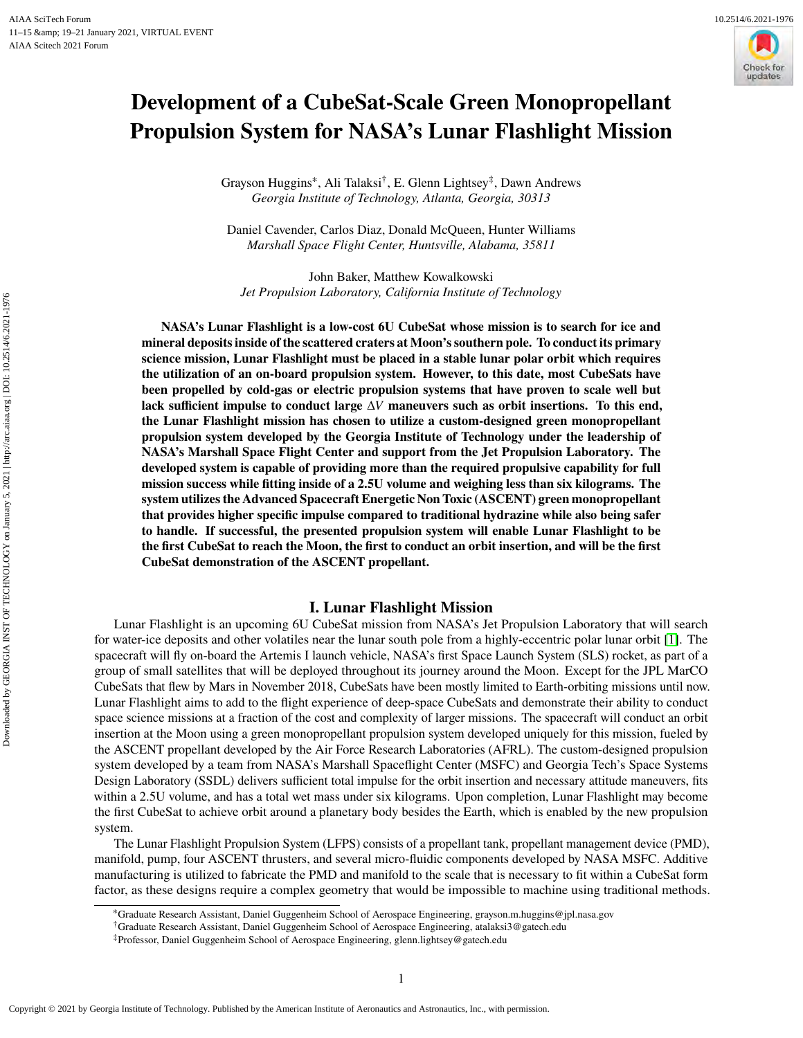# **Development of a CubeSat-Scale Green Monopropellant Propulsion System for NASA's Lunar Flashlight Mission**

Grayson Huggins<sup>∗</sup> , Ali Talaksi† , E. Glenn Lightsey‡ , Dawn Andrews *Georgia Institute of Technology, Atlanta, Georgia, 30313*

Daniel Cavender, Carlos Diaz, Donald McQueen, Hunter Williams *Marshall Space Flight Center, Huntsville, Alabama, 35811*

John Baker, Matthew Kowalkowski *Jet Propulsion Laboratory, California Institute of Technology*

**NASA's Lunar Flashlight is a low-cost 6U CubeSat whose mission is to search for ice and mineral deposits inside of the scattered craters at Moon's southern pole. To conduct its primary science mission, Lunar Flashlight must be placed in a stable lunar polar orbit which requires the utilization of an on-board propulsion system. However, to this date, most CubeSats have been propelled by cold-gas or electric propulsion systems that have proven to scale well but lack sufficient impulse to conduct large** Δ𝑉 **maneuvers such as orbit insertions. To this end, the Lunar Flashlight mission has chosen to utilize a custom-designed green monopropellant propulsion system developed by the Georgia Institute of Technology under the leadership of NASA's Marshall Space Flight Center and support from the Jet Propulsion Laboratory. The developed system is capable of providing more than the required propulsive capability for full mission success while fitting inside of a 2.5U volume and weighing less than six kilograms. The system utilizes the Advanced Spacecraft Energetic Non Toxic (ASCENT) green monopropellant that provides higher specific impulse compared to traditional hydrazine while also being safer to handle. If successful, the presented propulsion system will enable Lunar Flashlight to be the first CubeSat to reach the Moon, the first to conduct an orbit insertion, and will be the first CubeSat demonstration of the ASCENT propellant.**

# **I. Lunar Flashlight Mission**

Lunar Flashlight is an upcoming 6U CubeSat mission from NASA's Jet Propulsion Laboratory that will search for water-ice deposits and other volatiles near the lunar south pole from a highly-eccentric polar lunar orbit [\[1\]](#page-14-0). The spacecraft will fly on-board the Artemis I launch vehicle, NASA's first Space Launch System (SLS) rocket, as part of a group of small satellites that will be deployed throughout its journey around the Moon. Except for the JPL MarCO CubeSats that flew by Mars in November 2018, CubeSats have been mostly limited to Earth-orbiting missions until now. Lunar Flashlight aims to add to the flight experience of deep-space CubeSats and demonstrate their ability to conduct space science missions at a fraction of the cost and complexity of larger missions. The spacecraft will conduct an orbit insertion at the Moon using a green monopropellant propulsion system developed uniquely for this mission, fueled by the ASCENT propellant developed by the Air Force Research Laboratories (AFRL). The custom-designed propulsion system developed by a team from NASA's Marshall Spaceflight Center (MSFC) and Georgia Tech's Space Systems Design Laboratory (SSDL) delivers sufficient total impulse for the orbit insertion and necessary attitude maneuvers, fits within a 2.5U volume, and has a total wet mass under six kilograms. Upon completion, Lunar Flashlight may become the first CubeSat to achieve orbit around a planetary body besides the Earth, which is enabled by the new propulsion system.

The Lunar Flashlight Propulsion System (LFPS) consists of a propellant tank, propellant management device (PMD), manifold, pump, four ASCENT thrusters, and several micro-fluidic components developed by NASA MSFC. Additive manufacturing is utilized to fabricate the PMD and manifold to the scale that is necessary to fit within a CubeSat form factor, as these designs require a complex geometry that would be impossible to machine using traditional methods.

Downloaded by GEORGIA INST OF TECHNOLOGY on January 5, 2021 | http://arc.aiaa.org | DOI: 10.2514/6.2021-1976

Downloaded by GEORGIA INST OF TECHNOLOGY on January 5, 2021 | http://arc.aiaa.org | DOI: 10.2514/6.2021-1976

<sup>∗</sup>Graduate Research Assistant, Daniel Guggenheim School of Aerospace Engineering, grayson.m.huggins@jpl.nasa.gov

<sup>†</sup>Graduate Research Assistant, Daniel Guggenheim School of Aerospace Engineering, atalaksi3@gatech.edu

<sup>‡</sup>Professor, Daniel Guggenheim School of Aerospace Engineering, glenn.lightsey@gatech.edu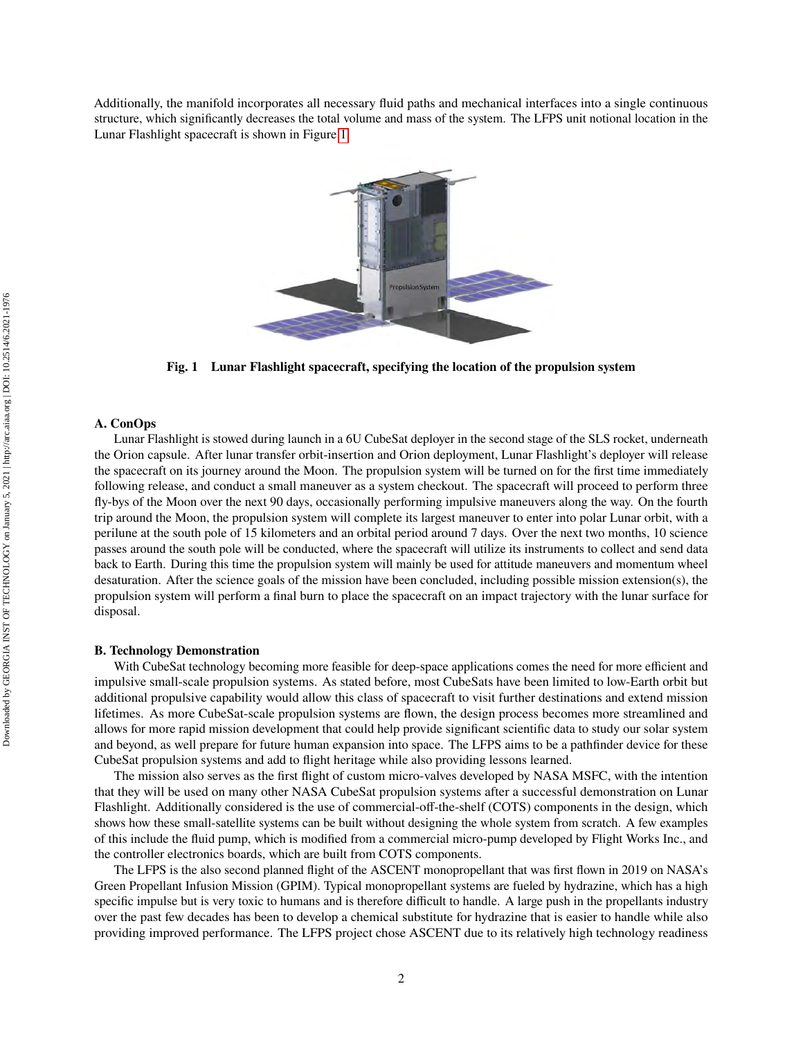<span id="page-1-0"></span>Additionally, the manifold incorporates all necessary fluid paths and mechanical interfaces into a single continuous structure, which significantly decreases the total volume and mass of the system. The LFPS unit notional location in the Lunar Flashlight spacecraft is shown in Figure [1.](#page-1-0)



**Fig. 1 Lunar Flashlight spacecraft, specifying the location of the propulsion system**

## **A. ConOps**

Lunar Flashlight is stowed during launch in a 6U CubeSat deployer in the second stage of the SLS rocket, underneath the Orion capsule. After lunar transfer orbit-insertion and Orion deployment, Lunar Flashlight's deployer will release the spacecraft on its journey around the Moon. The propulsion system will be turned on for the first time immediately following release, and conduct a small maneuver as a system checkout. The spacecraft will proceed to perform three fly-bys of the Moon over the next 90 days, occasionally performing impulsive maneuvers along the way. On the fourth trip around the Moon, the propulsion system will complete its largest maneuver to enter into polar Lunar orbit, with a perilune at the south pole of 15 kilometers and an orbital period around 7 days. Over the next two months, 10 science passes around the south pole will be conducted, where the spacecraft will utilize its instruments to collect and send data back to Earth. During this time the propulsion system will mainly be used for attitude maneuvers and momentum wheel desaturation. After the science goals of the mission have been concluded, including possible mission extension(s), the propulsion system will perform a final burn to place the spacecraft on an impact trajectory with the lunar surface for disposal.

## **B. Technology Demonstration**

With CubeSat technology becoming more feasible for deep-space applications comes the need for more efficient and impulsive small-scale propulsion systems. As stated before, most CubeSats have been limited to low-Earth orbit but additional propulsive capability would allow this class of spacecraft to visit further destinations and extend mission lifetimes. As more CubeSat-scale propulsion systems are flown, the design process becomes more streamlined and allows for more rapid mission development that could help provide significant scientific data to study our solar system and beyond, as well prepare for future human expansion into space. The LFPS aims to be a pathfinder device for these CubeSat propulsion systems and add to flight heritage while also providing lessons learned.

The mission also serves as the first flight of custom micro-valves developed by NASA MSFC, with the intention that they will be used on many other NASA CubeSat propulsion systems after a successful demonstration on Lunar Flashlight. Additionally considered is the use of commercial-off-the-shelf (COTS) components in the design, which shows how these small-satellite systems can be built without designing the whole system from scratch. A few examples of this include the fluid pump, which is modified from a commercial micro-pump developed by Flight Works Inc., and the controller electronics boards, which are built from COTS components.

The LFPS is the also second planned flight of the ASCENT monopropellant that was first flown in 2019 on NASA's Green Propellant Infusion Mission (GPIM). Typical monopropellant systems are fueled by hydrazine, which has a high specific impulse but is very toxic to humans and is therefore difficult to handle. A large push in the propellants industry over the past few decades has been to develop a chemical substitute for hydrazine that is easier to handle while also providing improved performance. The LFPS project chose ASCENT due to its relatively high technology readiness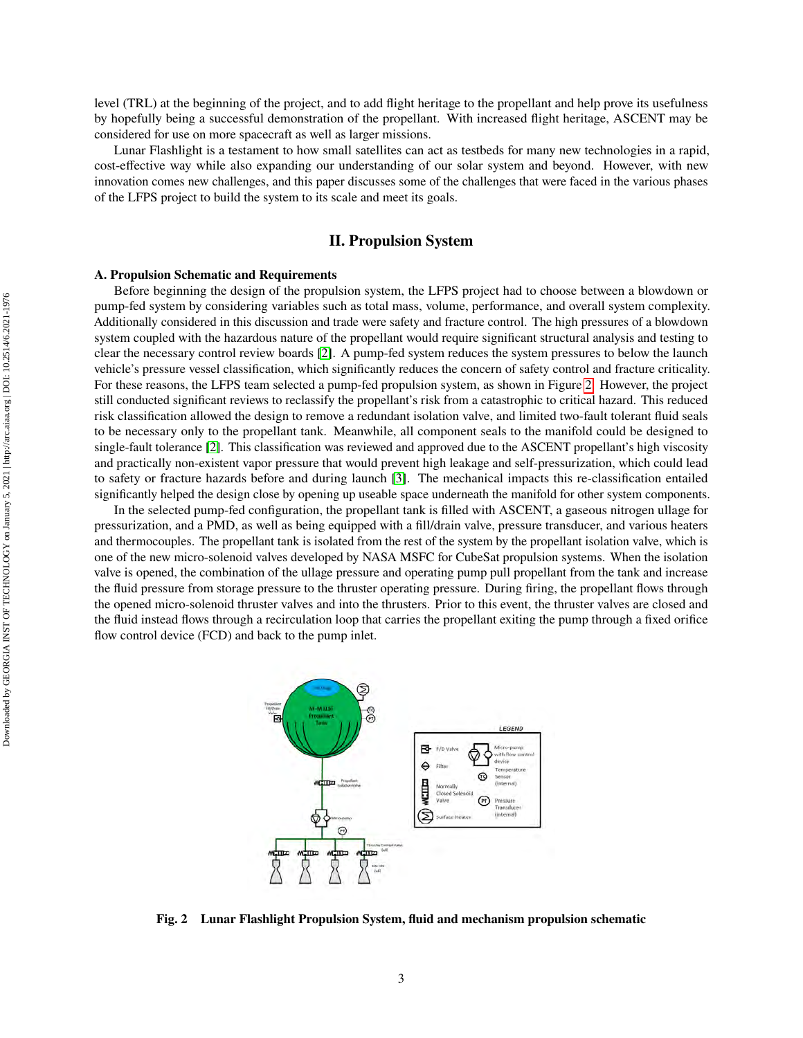level (TRL) at the beginning of the project, and to add flight heritage to the propellant and help prove its usefulness by hopefully being a successful demonstration of the propellant. With increased flight heritage, ASCENT may be considered for use on more spacecraft as well as larger missions.

Lunar Flashlight is a testament to how small satellites can act as testbeds for many new technologies in a rapid, cost-effective way while also expanding our understanding of our solar system and beyond. However, with new innovation comes new challenges, and this paper discusses some of the challenges that were faced in the various phases of the LFPS project to build the system to its scale and meet its goals.

# **II. Propulsion System**

#### **A. Propulsion Schematic and Requirements**

Before beginning the design of the propulsion system, the LFPS project had to choose between a blowdown or pump-fed system by considering variables such as total mass, volume, performance, and overall system complexity. Additionally considered in this discussion and trade were safety and fracture control. The high pressures of a blowdown system coupled with the hazardous nature of the propellant would require significant structural analysis and testing to clear the necessary control review boards [\[2\]](#page-14-1). A pump-fed system reduces the system pressures to below the launch vehicle's pressure vessel classification, which significantly reduces the concern of safety control and fracture criticality. For these reasons, the LFPS team selected a pump-fed propulsion system, as shown in Figure [2.](#page-2-0) However, the project still conducted significant reviews to reclassify the propellant's risk from a catastrophic to critical hazard. This reduced risk classification allowed the design to remove a redundant isolation valve, and limited two-fault tolerant fluid seals to be necessary only to the propellant tank. Meanwhile, all component seals to the manifold could be designed to single-fault tolerance [\[2\]](#page-14-1). This classification was reviewed and approved due to the ASCENT propellant's high viscosity and practically non-existent vapor pressure that would prevent high leakage and self-pressurization, which could lead to safety or fracture hazards before and during launch [\[3\]](#page-14-2). The mechanical impacts this re-classification entailed significantly helped the design close by opening up useable space underneath the manifold for other system components.

In the selected pump-fed configuration, the propellant tank is filled with ASCENT, a gaseous nitrogen ullage for pressurization, and a PMD, as well as being equipped with a fill/drain valve, pressure transducer, and various heaters and thermocouples. The propellant tank is isolated from the rest of the system by the propellant isolation valve, which is one of the new micro-solenoid valves developed by NASA MSFC for CubeSat propulsion systems. When the isolation valve is opened, the combination of the ullage pressure and operating pump pull propellant from the tank and increase the fluid pressure from storage pressure to the thruster operating pressure. During firing, the propellant flows through the opened micro-solenoid thruster valves and into the thrusters. Prior to this event, the thruster valves are closed and the fluid instead flows through a recirculation loop that carries the propellant exiting the pump through a fixed orifice flow control device (FCD) and back to the pump inlet.

<span id="page-2-0"></span>

**Fig. 2 Lunar Flashlight Propulsion System, fluid and mechanism propulsion schematic**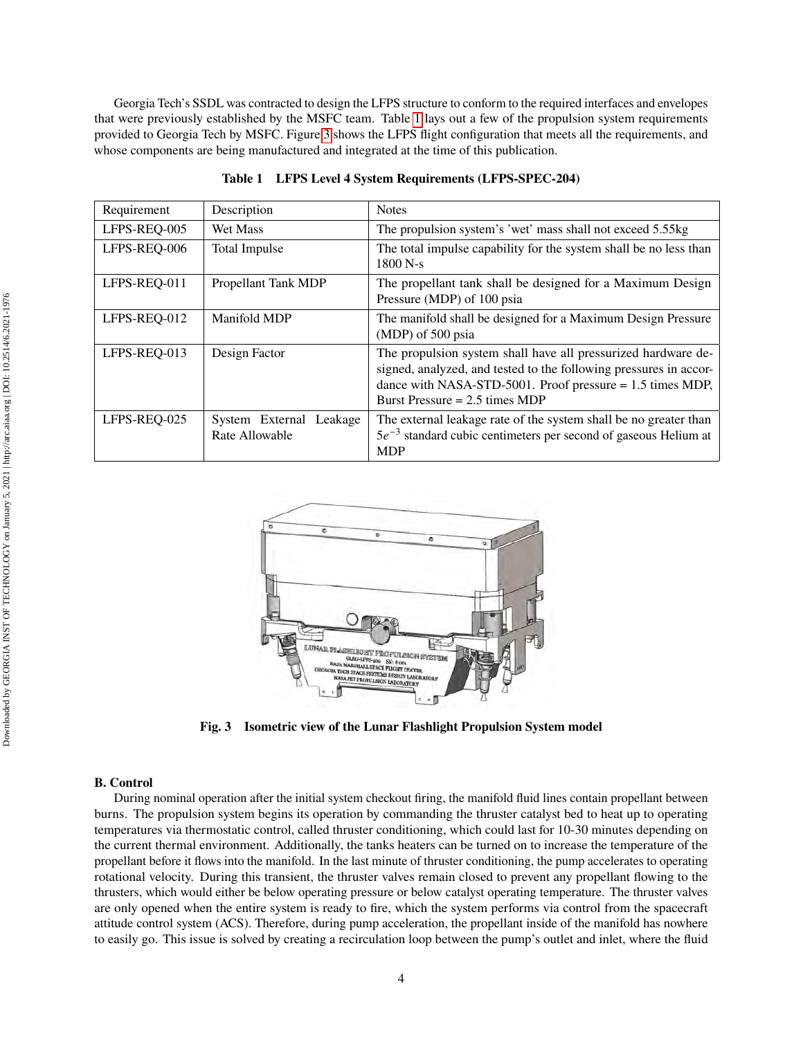Georgia Tech's SSDL was contracted to design the LFPS structure to conform to the required interfaces and envelopes that were previously established by the MSFC team. Table [1](#page-3-0) lays out a few of the propulsion system requirements provided to Georgia Tech by MSFC. Figure [3](#page-3-1) shows the LFPS flight configuration that meets all the requirements, and whose components are being manufactured and integrated at the time of this publication.

<span id="page-3-0"></span>

| Requirement  | Description                               | <b>Notes</b>                                                                                                                                                                                                                          |
|--------------|-------------------------------------------|---------------------------------------------------------------------------------------------------------------------------------------------------------------------------------------------------------------------------------------|
| LFPS-REQ-005 | <b>Wet Mass</b>                           | The propulsion system's 'wet' mass shall not exceed 5.55kg                                                                                                                                                                            |
| LFPS-REQ-006 | <b>Total Impulse</b>                      | The total impulse capability for the system shall be no less than<br>$1800 N-s$                                                                                                                                                       |
| LFPS-REQ-011 | Propellant Tank MDP                       | The propellant tank shall be designed for a Maximum Design<br>Pressure (MDP) of 100 psia                                                                                                                                              |
| LFPS-REQ-012 | Manifold MDP                              | The manifold shall be designed for a Maximum Design Pressure<br>(MDP) of 500 psia                                                                                                                                                     |
| LFPS-REQ-013 | Design Factor                             | The propulsion system shall have all pressurized hardware de-<br>signed, analyzed, and tested to the following pressures in accor-<br>dance with NASA-STD-5001. Proof pressure $= 1.5$ times MDP,<br>Burst Pressure $= 2.5$ times MDP |
| LFPS-REQ-025 | System External Leakage<br>Rate Allowable | The external leakage rate of the system shall be no greater than<br>$5e^{-3}$ standard cubic centimeters per second of gaseous Helium at<br><b>MDP</b>                                                                                |

|  |  | Table 1 LFPS Level 4 System Requirements (LFPS-SPEC-204) |
|--|--|----------------------------------------------------------|
|  |  |                                                          |

<span id="page-3-1"></span>

**Fig. 3 Isometric view of the Lunar Flashlight Propulsion System model**

#### <span id="page-3-2"></span>**B. Control**

During nominal operation after the initial system checkout firing, the manifold fluid lines contain propellant between burns. The propulsion system begins its operation by commanding the thruster catalyst bed to heat up to operating temperatures via thermostatic control, called thruster conditioning, which could last for 10-30 minutes depending on the current thermal environment. Additionally, the tanks heaters can be turned on to increase the temperature of the propellant before it flows into the manifold. In the last minute of thruster conditioning, the pump accelerates to operating rotational velocity. During this transient, the thruster valves remain closed to prevent any propellant flowing to the thrusters, which would either be below operating pressure or below catalyst operating temperature. The thruster valves are only opened when the entire system is ready to fire, which the system performs via control from the spacecraft attitude control system (ACS). Therefore, during pump acceleration, the propellant inside of the manifold has nowhere to easily go. This issue is solved by creating a recirculation loop between the pump's outlet and inlet, where the fluid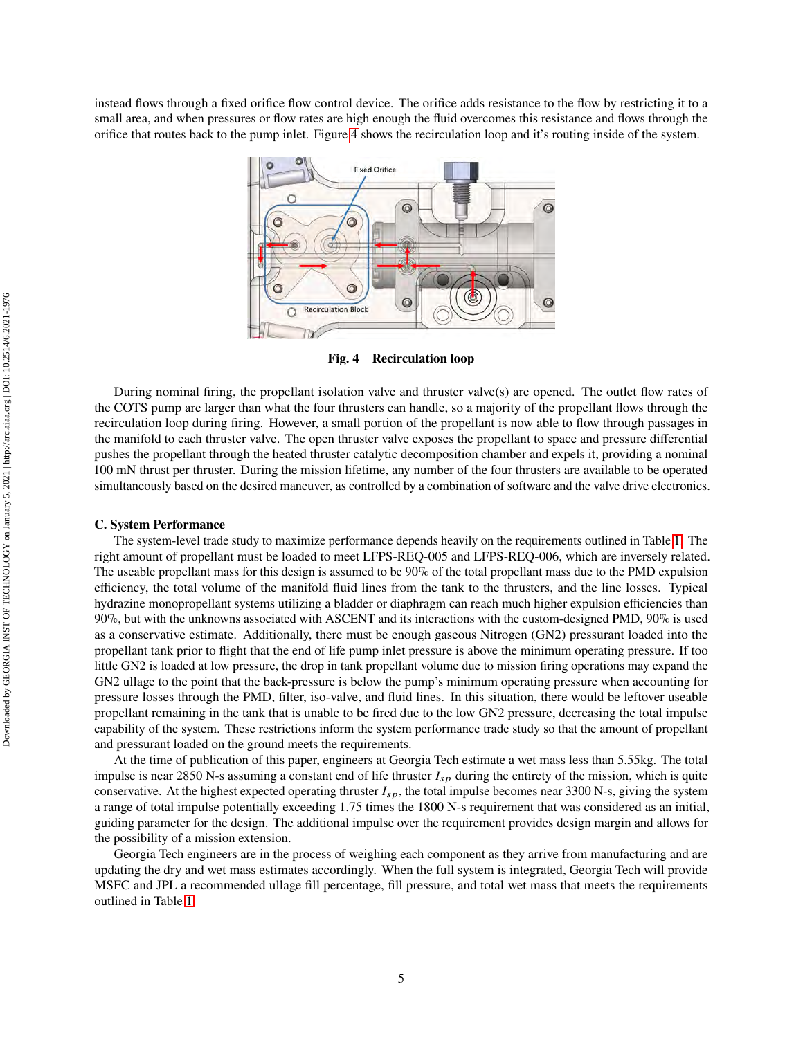<span id="page-4-0"></span>instead flows through a fixed orifice flow control device. The orifice adds resistance to the flow by restricting it to a small area, and when pressures or flow rates are high enough the fluid overcomes this resistance and flows through the orifice that routes back to the pump inlet. Figure [4](#page-4-0) shows the recirculation loop and it's routing inside of the system.



**Fig. 4 Recirculation loop**

During nominal firing, the propellant isolation valve and thruster valve(s) are opened. The outlet flow rates of the COTS pump are larger than what the four thrusters can handle, so a majority of the propellant flows through the recirculation loop during firing. However, a small portion of the propellant is now able to flow through passages in the manifold to each thruster valve. The open thruster valve exposes the propellant to space and pressure differential pushes the propellant through the heated thruster catalytic decomposition chamber and expels it, providing a nominal 100 mN thrust per thruster. During the mission lifetime, any number of the four thrusters are available to be operated simultaneously based on the desired maneuver, as controlled by a combination of software and the valve drive electronics.

#### **C. System Performance**

The system-level trade study to maximize performance depends heavily on the requirements outlined in Table [1.](#page-3-0) The right amount of propellant must be loaded to meet LFPS-REQ-005 and LFPS-REQ-006, which are inversely related. The useable propellant mass for this design is assumed to be 90% of the total propellant mass due to the PMD expulsion efficiency, the total volume of the manifold fluid lines from the tank to the thrusters, and the line losses. Typical hydrazine monopropellant systems utilizing a bladder or diaphragm can reach much higher expulsion efficiencies than 90%, but with the unknowns associated with ASCENT and its interactions with the custom-designed PMD, 90% is used as a conservative estimate. Additionally, there must be enough gaseous Nitrogen (GN2) pressurant loaded into the propellant tank prior to flight that the end of life pump inlet pressure is above the minimum operating pressure. If too little GN2 is loaded at low pressure, the drop in tank propellant volume due to mission firing operations may expand the GN2 ullage to the point that the back-pressure is below the pump's minimum operating pressure when accounting for pressure losses through the PMD, filter, iso-valve, and fluid lines. In this situation, there would be leftover useable propellant remaining in the tank that is unable to be fired due to the low GN2 pressure, decreasing the total impulse capability of the system. These restrictions inform the system performance trade study so that the amount of propellant and pressurant loaded on the ground meets the requirements.

At the time of publication of this paper, engineers at Georgia Tech estimate a wet mass less than 5.55kg. The total impulse is near 2850 N-s assuming a constant end of life thruster  $I_{sp}$  during the entirety of the mission, which is quite conservative. At the highest expected operating thruster  $I_{sp}$ , the total impulse becomes near 3300 N-s, giving the system a range of total impulse potentially exceeding 1.75 times the 1800 N-s requirement that was considered as an initial, guiding parameter for the design. The additional impulse over the requirement provides design margin and allows for the possibility of a mission extension.

Georgia Tech engineers are in the process of weighing each component as they arrive from manufacturing and are updating the dry and wet mass estimates accordingly. When the full system is integrated, Georgia Tech will provide MSFC and JPL a recommended ullage fill percentage, fill pressure, and total wet mass that meets the requirements outlined in Table [1.](#page-3-0)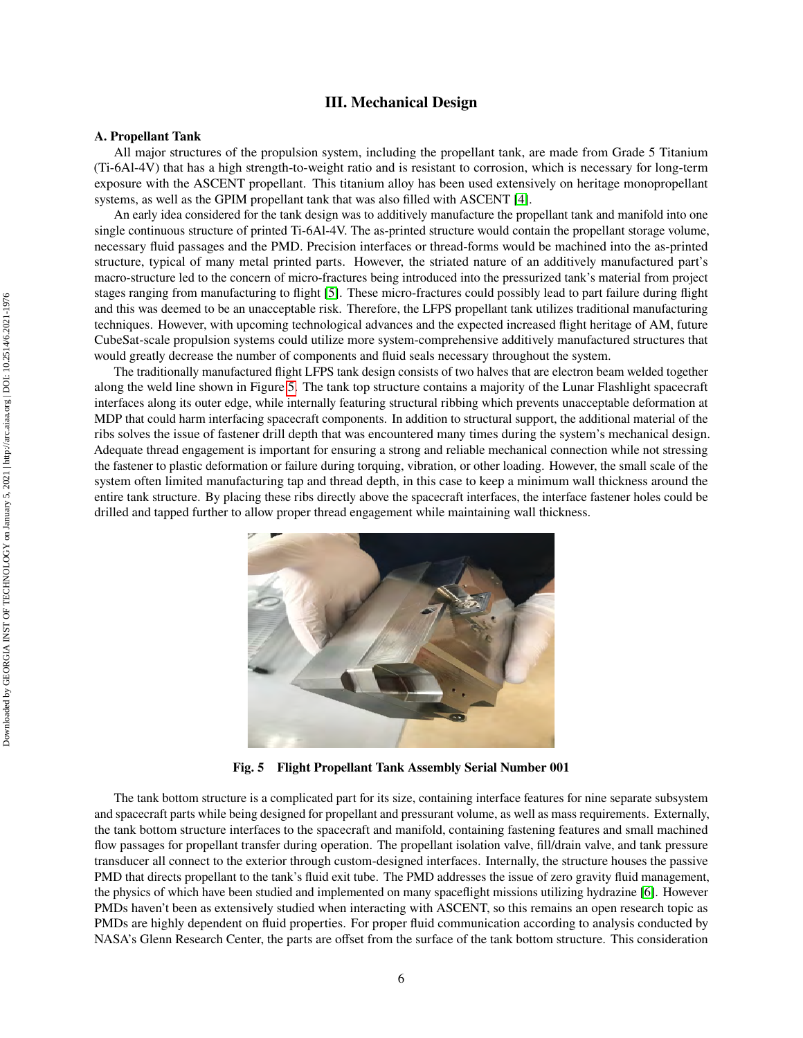# **III. Mechanical Design**

#### **A. Propellant Tank**

All major structures of the propulsion system, including the propellant tank, are made from Grade 5 Titanium (Ti-6Al-4V) that has a high strength-to-weight ratio and is resistant to corrosion, which is necessary for long-term exposure with the ASCENT propellant. This titanium alloy has been used extensively on heritage monopropellant systems, as well as the GPIM propellant tank that was also filled with ASCENT [\[4\]](#page-14-3).

An early idea considered for the tank design was to additively manufacture the propellant tank and manifold into one single continuous structure of printed Ti-6Al-4V. The as-printed structure would contain the propellant storage volume, necessary fluid passages and the PMD. Precision interfaces or thread-forms would be machined into the as-printed structure, typical of many metal printed parts. However, the striated nature of an additively manufactured part's macro-structure led to the concern of micro-fractures being introduced into the pressurized tank's material from project stages ranging from manufacturing to flight [\[5\]](#page-14-4). These micro-fractures could possibly lead to part failure during flight and this was deemed to be an unacceptable risk. Therefore, the LFPS propellant tank utilizes traditional manufacturing techniques. However, with upcoming technological advances and the expected increased flight heritage of AM, future CubeSat-scale propulsion systems could utilize more system-comprehensive additively manufactured structures that would greatly decrease the number of components and fluid seals necessary throughout the system.

The traditionally manufactured flight LFPS tank design consists of two halves that are electron beam welded together along the weld line shown in Figure [5.](#page-5-0) The tank top structure contains a majority of the Lunar Flashlight spacecraft interfaces along its outer edge, while internally featuring structural ribbing which prevents unacceptable deformation at MDP that could harm interfacing spacecraft components. In addition to structural support, the additional material of the ribs solves the issue of fastener drill depth that was encountered many times during the system's mechanical design. Adequate thread engagement is important for ensuring a strong and reliable mechanical connection while not stressing the fastener to plastic deformation or failure during torquing, vibration, or other loading. However, the small scale of the system often limited manufacturing tap and thread depth, in this case to keep a minimum wall thickness around the entire tank structure. By placing these ribs directly above the spacecraft interfaces, the interface fastener holes could be drilled and tapped further to allow proper thread engagement while maintaining wall thickness.

<span id="page-5-0"></span>

**Fig. 5 Flight Propellant Tank Assembly Serial Number 001**

The tank bottom structure is a complicated part for its size, containing interface features for nine separate subsystem and spacecraft parts while being designed for propellant and pressurant volume, as well as mass requirements. Externally, the tank bottom structure interfaces to the spacecraft and manifold, containing fastening features and small machined flow passages for propellant transfer during operation. The propellant isolation valve, fill/drain valve, and tank pressure transducer all connect to the exterior through custom-designed interfaces. Internally, the structure houses the passive PMD that directs propellant to the tank's fluid exit tube. The PMD addresses the issue of zero gravity fluid management, the physics of which have been studied and implemented on many spaceflight missions utilizing hydrazine [\[6\]](#page-14-5). However PMDs haven't been as extensively studied when interacting with ASCENT, so this remains an open research topic as PMDs are highly dependent on fluid properties. For proper fluid communication according to analysis conducted by NASA's Glenn Research Center, the parts are offset from the surface of the tank bottom structure. This consideration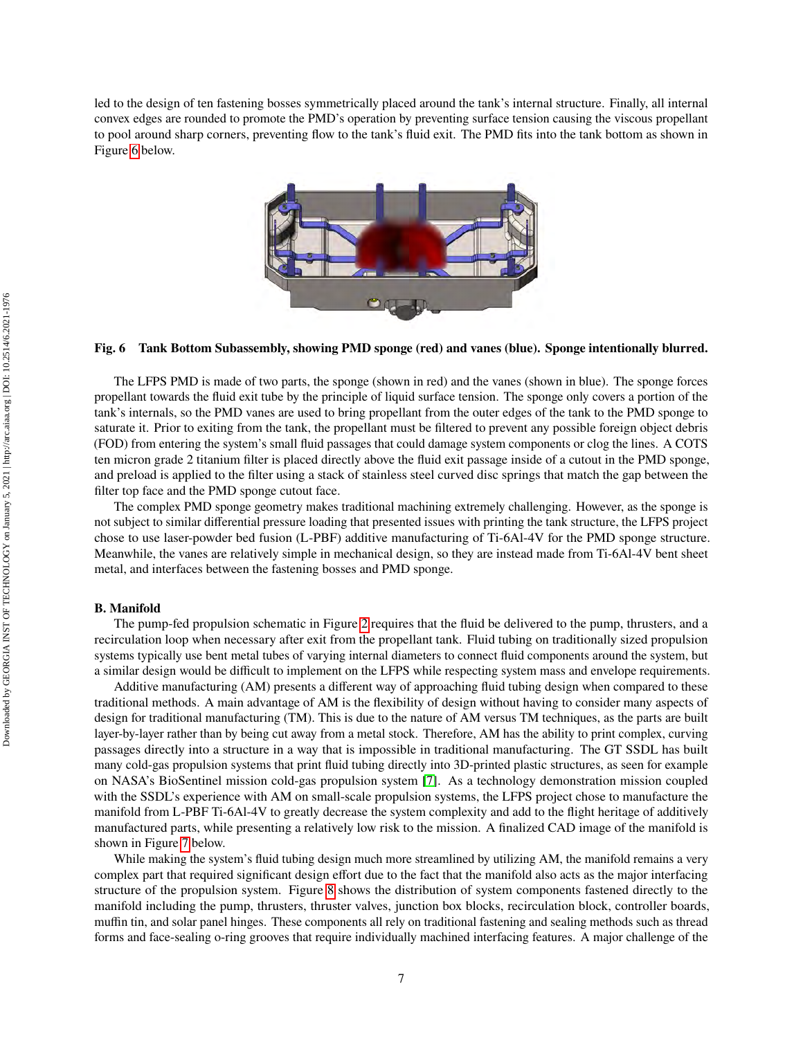<span id="page-6-0"></span>led to the design of ten fastening bosses symmetrically placed around the tank's internal structure. Finally, all internal convex edges are rounded to promote the PMD's operation by preventing surface tension causing the viscous propellant to pool around sharp corners, preventing flow to the tank's fluid exit. The PMD fits into the tank bottom as shown in Figure [6](#page-6-0) below.



#### **Fig. 6 Tank Bottom Subassembly, showing PMD sponge (red) and vanes (blue). Sponge intentionally blurred.**

The LFPS PMD is made of two parts, the sponge (shown in red) and the vanes (shown in blue). The sponge forces propellant towards the fluid exit tube by the principle of liquid surface tension. The sponge only covers a portion of the tank's internals, so the PMD vanes are used to bring propellant from the outer edges of the tank to the PMD sponge to saturate it. Prior to exiting from the tank, the propellant must be filtered to prevent any possible foreign object debris (FOD) from entering the system's small fluid passages that could damage system components or clog the lines. A COTS ten micron grade 2 titanium filter is placed directly above the fluid exit passage inside of a cutout in the PMD sponge, and preload is applied to the filter using a stack of stainless steel curved disc springs that match the gap between the filter top face and the PMD sponge cutout face.

The complex PMD sponge geometry makes traditional machining extremely challenging. However, as the sponge is not subject to similar differential pressure loading that presented issues with printing the tank structure, the LFPS project chose to use laser-powder bed fusion (L-PBF) additive manufacturing of Ti-6Al-4V for the PMD sponge structure. Meanwhile, the vanes are relatively simple in mechanical design, so they are instead made from Ti-6Al-4V bent sheet metal, and interfaces between the fastening bosses and PMD sponge.

#### **B. Manifold**

The pump-fed propulsion schematic in Figure [2](#page-2-0) requires that the fluid be delivered to the pump, thrusters, and a recirculation loop when necessary after exit from the propellant tank. Fluid tubing on traditionally sized propulsion systems typically use bent metal tubes of varying internal diameters to connect fluid components around the system, but a similar design would be difficult to implement on the LFPS while respecting system mass and envelope requirements.

Additive manufacturing (AM) presents a different way of approaching fluid tubing design when compared to these traditional methods. A main advantage of AM is the flexibility of design without having to consider many aspects of design for traditional manufacturing (TM). This is due to the nature of AM versus TM techniques, as the parts are built layer-by-layer rather than by being cut away from a metal stock. Therefore, AM has the ability to print complex, curving passages directly into a structure in a way that is impossible in traditional manufacturing. The GT SSDL has built many cold-gas propulsion systems that print fluid tubing directly into 3D-printed plastic structures, as seen for example on NASA's BioSentinel mission cold-gas propulsion system [\[7\]](#page-14-6). As a technology demonstration mission coupled with the SSDL's experience with AM on small-scale propulsion systems, the LFPS project chose to manufacture the manifold from L-PBF Ti-6Al-4V to greatly decrease the system complexity and add to the flight heritage of additively manufactured parts, while presenting a relatively low risk to the mission. A finalized CAD image of the manifold is shown in Figure [7](#page-7-0) below.

While making the system's fluid tubing design much more streamlined by utilizing AM, the manifold remains a very complex part that required significant design effort due to the fact that the manifold also acts as the major interfacing structure of the propulsion system. Figure [8](#page-7-1) shows the distribution of system components fastened directly to the manifold including the pump, thrusters, thruster valves, junction box blocks, recirculation block, controller boards, muffin tin, and solar panel hinges. These components all rely on traditional fastening and sealing methods such as thread forms and face-sealing o-ring grooves that require individually machined interfacing features. A major challenge of the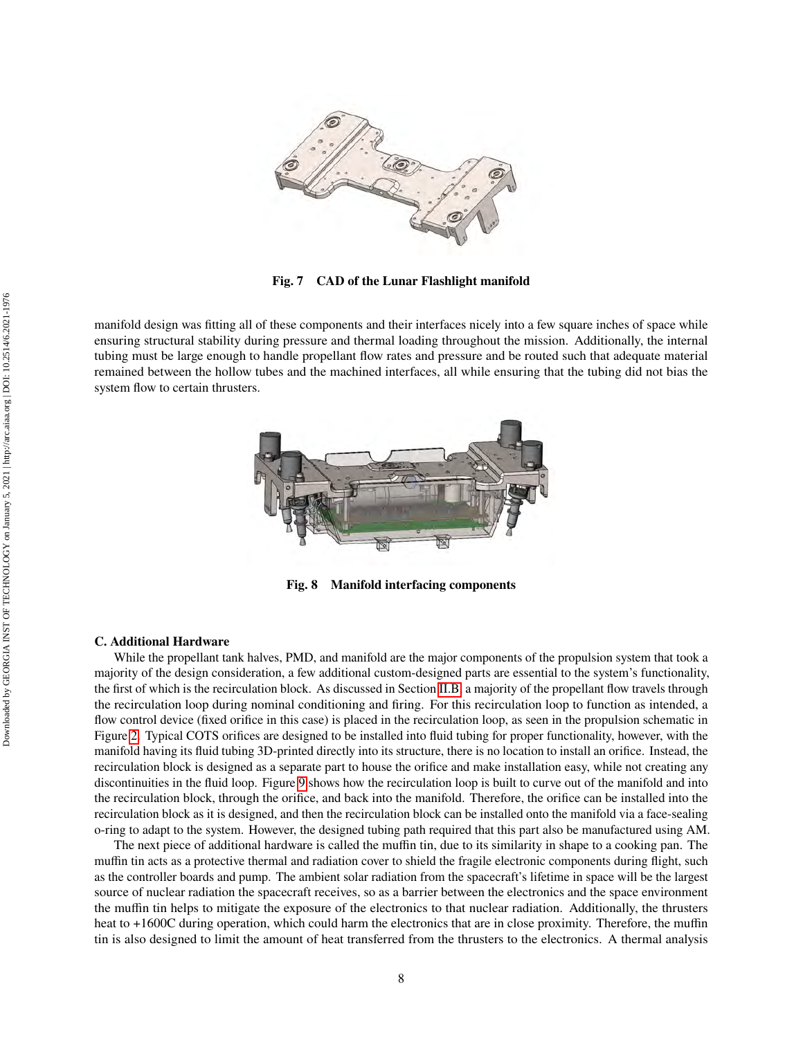<span id="page-7-0"></span>

**Fig. 7 CAD of the Lunar Flashlight manifold**

<span id="page-7-1"></span>manifold design was fitting all of these components and their interfaces nicely into a few square inches of space while ensuring structural stability during pressure and thermal loading throughout the mission. Additionally, the internal tubing must be large enough to handle propellant flow rates and pressure and be routed such that adequate material remained between the hollow tubes and the machined interfaces, all while ensuring that the tubing did not bias the system flow to certain thrusters.



**Fig. 8 Manifold interfacing components**

## **C. Additional Hardware**

While the propellant tank halves, PMD, and manifold are the major components of the propulsion system that took a majority of the design consideration, a few additional custom-designed parts are essential to the system's functionality, the first of which is the recirculation block. As discussed in Section [II.B,](#page-3-2) a majority of the propellant flow travels through the recirculation loop during nominal conditioning and firing. For this recirculation loop to function as intended, a flow control device (fixed orifice in this case) is placed in the recirculation loop, as seen in the propulsion schematic in Figure [2.](#page-2-0) Typical COTS orifices are designed to be installed into fluid tubing for proper functionality, however, with the manifold having its fluid tubing 3D-printed directly into its structure, there is no location to install an orifice. Instead, the recirculation block is designed as a separate part to house the orifice and make installation easy, while not creating any discontinuities in the fluid loop. Figure [9](#page-8-0) shows how the recirculation loop is built to curve out of the manifold and into the recirculation block, through the orifice, and back into the manifold. Therefore, the orifice can be installed into the recirculation block as it is designed, and then the recirculation block can be installed onto the manifold via a face-sealing o-ring to adapt to the system. However, the designed tubing path required that this part also be manufactured using AM.

The next piece of additional hardware is called the muffin tin, due to its similarity in shape to a cooking pan. The muffin tin acts as a protective thermal and radiation cover to shield the fragile electronic components during flight, such as the controller boards and pump. The ambient solar radiation from the spacecraft's lifetime in space will be the largest source of nuclear radiation the spacecraft receives, so as a barrier between the electronics and the space environment the muffin tin helps to mitigate the exposure of the electronics to that nuclear radiation. Additionally, the thrusters heat to +1600C during operation, which could harm the electronics that are in close proximity. Therefore, the muffin tin is also designed to limit the amount of heat transferred from the thrusters to the electronics. A thermal analysis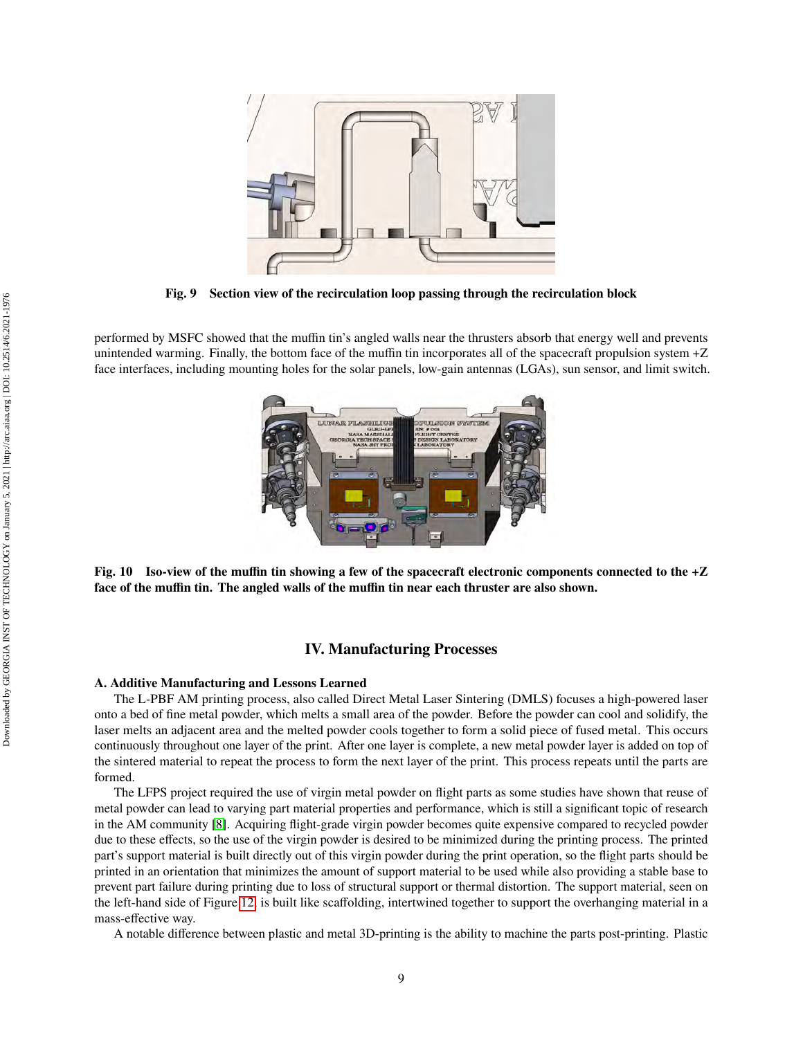<span id="page-8-0"></span>

**Fig. 9 Section view of the recirculation loop passing through the recirculation block**

performed by MSFC showed that the muffin tin's angled walls near the thrusters absorb that energy well and prevents unintended warming. Finally, the bottom face of the muffin tin incorporates all of the spacecraft propulsion system +Z face interfaces, including mounting holes for the solar panels, low-gain antennas (LGAs), sun sensor, and limit switch.



**Fig. 10 Iso-view of the muffin tin showing a few of the spacecraft electronic components connected to the +Z face of the muffin tin. The angled walls of the muffin tin near each thruster are also shown.**

# **IV. Manufacturing Processes**

## **A. Additive Manufacturing and Lessons Learned**

The L-PBF AM printing process, also called Direct Metal Laser Sintering (DMLS) focuses a high-powered laser onto a bed of fine metal powder, which melts a small area of the powder. Before the powder can cool and solidify, the laser melts an adjacent area and the melted powder cools together to form a solid piece of fused metal. This occurs continuously throughout one layer of the print. After one layer is complete, a new metal powder layer is added on top of the sintered material to repeat the process to form the next layer of the print. This process repeats until the parts are formed.

The LFPS project required the use of virgin metal powder on flight parts as some studies have shown that reuse of metal powder can lead to varying part material properties and performance, which is still a significant topic of research in the AM community [\[8\]](#page-14-7). Acquiring flight-grade virgin powder becomes quite expensive compared to recycled powder due to these effects, so the use of the virgin powder is desired to be minimized during the printing process. The printed part's support material is built directly out of this virgin powder during the print operation, so the flight parts should be printed in an orientation that minimizes the amount of support material to be used while also providing a stable base to prevent part failure during printing due to loss of structural support or thermal distortion. The support material, seen on the left-hand side of Figure [12,](#page-10-0) is built like scaffolding, intertwined together to support the overhanging material in a mass-effective way.

A notable difference between plastic and metal 3D-printing is the ability to machine the parts post-printing. Plastic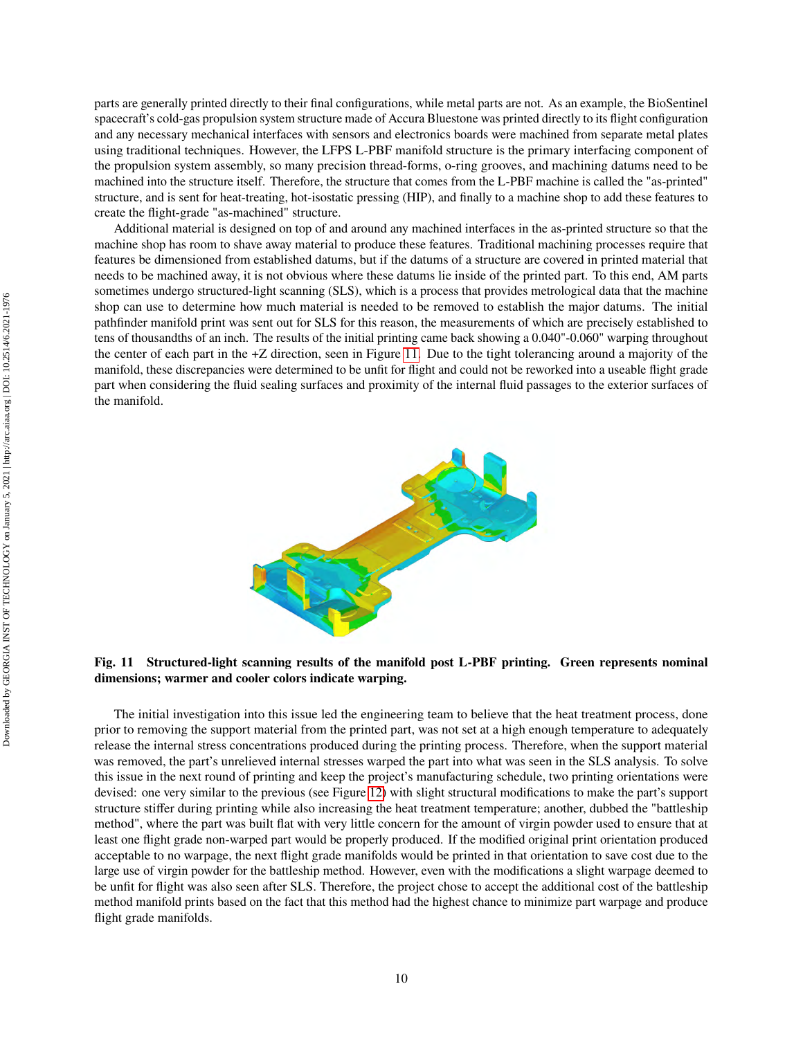parts are generally printed directly to their final configurations, while metal parts are not. As an example, the BioSentinel spacecraft's cold-gas propulsion system structure made of Accura Bluestone was printed directly to its flight configuration and any necessary mechanical interfaces with sensors and electronics boards were machined from separate metal plates using traditional techniques. However, the LFPS L-PBF manifold structure is the primary interfacing component of the propulsion system assembly, so many precision thread-forms, o-ring grooves, and machining datums need to be machined into the structure itself. Therefore, the structure that comes from the L-PBF machine is called the "as-printed" structure, and is sent for heat-treating, hot-isostatic pressing (HIP), and finally to a machine shop to add these features to create the flight-grade "as-machined" structure.

Additional material is designed on top of and around any machined interfaces in the as-printed structure so that the machine shop has room to shave away material to produce these features. Traditional machining processes require that features be dimensioned from established datums, but if the datums of a structure are covered in printed material that needs to be machined away, it is not obvious where these datums lie inside of the printed part. To this end, AM parts sometimes undergo structured-light scanning (SLS), which is a process that provides metrological data that the machine shop can use to determine how much material is needed to be removed to establish the major datums. The initial pathfinder manifold print was sent out for SLS for this reason, the measurements of which are precisely established to tens of thousandths of an inch. The results of the initial printing came back showing a 0.040"-0.060" warping throughout the center of each part in the +Z direction, seen in Figure [11.](#page-9-0) Due to the tight tolerancing around a majority of the manifold, these discrepancies were determined to be unfit for flight and could not be reworked into a useable flight grade part when considering the fluid sealing surfaces and proximity of the internal fluid passages to the exterior surfaces of the manifold.

<span id="page-9-0"></span>

**Fig. 11 Structured-light scanning results of the manifold post L-PBF printing. Green represents nominal dimensions; warmer and cooler colors indicate warping.**

The initial investigation into this issue led the engineering team to believe that the heat treatment process, done prior to removing the support material from the printed part, was not set at a high enough temperature to adequately release the internal stress concentrations produced during the printing process. Therefore, when the support material was removed, the part's unrelieved internal stresses warped the part into what was seen in the SLS analysis. To solve this issue in the next round of printing and keep the project's manufacturing schedule, two printing orientations were devised: one very similar to the previous (see Figure [12\)](#page-10-0) with slight structural modifications to make the part's support structure stiffer during printing while also increasing the heat treatment temperature; another, dubbed the "battleship method", where the part was built flat with very little concern for the amount of virgin powder used to ensure that at least one flight grade non-warped part would be properly produced. If the modified original print orientation produced acceptable to no warpage, the next flight grade manifolds would be printed in that orientation to save cost due to the large use of virgin powder for the battleship method. However, even with the modifications a slight warpage deemed to be unfit for flight was also seen after SLS. Therefore, the project chose to accept the additional cost of the battleship method manifold prints based on the fact that this method had the highest chance to minimize part warpage and produce flight grade manifolds.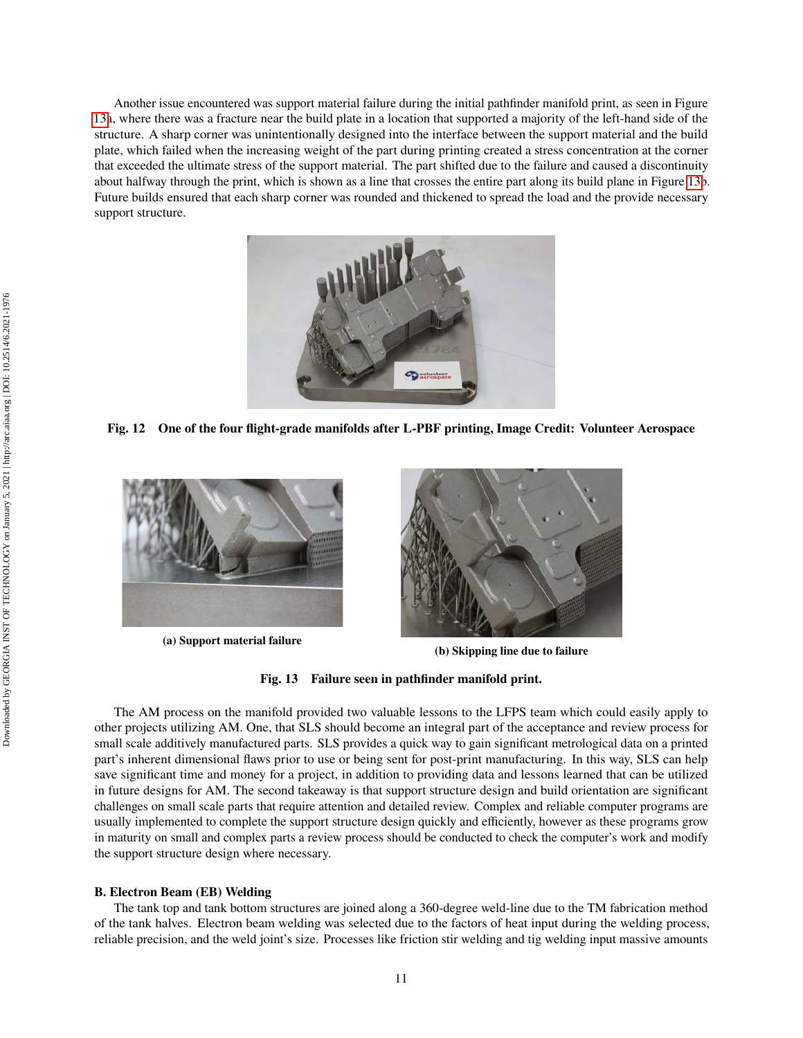Another issue encountered was support material failure during the initial pathfinder manifold print, as seen in Figure [13a](#page-10-1), where there was a fracture near the build plate in a location that supported a majority of the left-hand side of the structure. A sharp corner was unintentionally designed into the interface between the support material and the build plate, which failed when the increasing weight of the part during printing created a stress concentration at the corner that exceeded the ultimate stress of the support material. The part shifted due to the failure and caused a discontinuity about halfway through the print, which is shown as a line that crosses the entire part along its build plane in Figure [13b](#page-10-1). Future builds ensured that each sharp corner was rounded and thickened to spread the load and the provide necessary support structure.

<span id="page-10-0"></span>

**Fig. 12 One of the four flight-grade manifolds after L-PBF printing, Image Credit: Volunteer Aerospace**

<span id="page-10-1"></span>

**(a) Support material failure**



**(b) Skipping line due to failure**

**Fig. 13 Failure seen in pathfinder manifold print.**

The AM process on the manifold provided two valuable lessons to the LFPS team which could easily apply to other projects utilizing AM. One, that SLS should become an integral part of the acceptance and review process for small scale additively manufactured parts. SLS provides a quick way to gain significant metrological data on a printed part's inherent dimensional flaws prior to use or being sent for post-print manufacturing. In this way, SLS can help save significant time and money for a project, in addition to providing data and lessons learned that can be utilized in future designs for AM. The second takeaway is that support structure design and build orientation are significant challenges on small scale parts that require attention and detailed review. Complex and reliable computer programs are usually implemented to complete the support structure design quickly and efficiently, however as these programs grow in maturity on small and complex parts a review process should be conducted to check the computer's work and modify the support structure design where necessary.

#### **B. Electron Beam (EB) Welding**

The tank top and tank bottom structures are joined along a 360-degree weld-line due to the TM fabrication method of the tank halves. Electron beam welding was selected due to the factors of heat input during the welding process, reliable precision, and the weld joint's size. Processes like friction stir welding and tig welding input massive amounts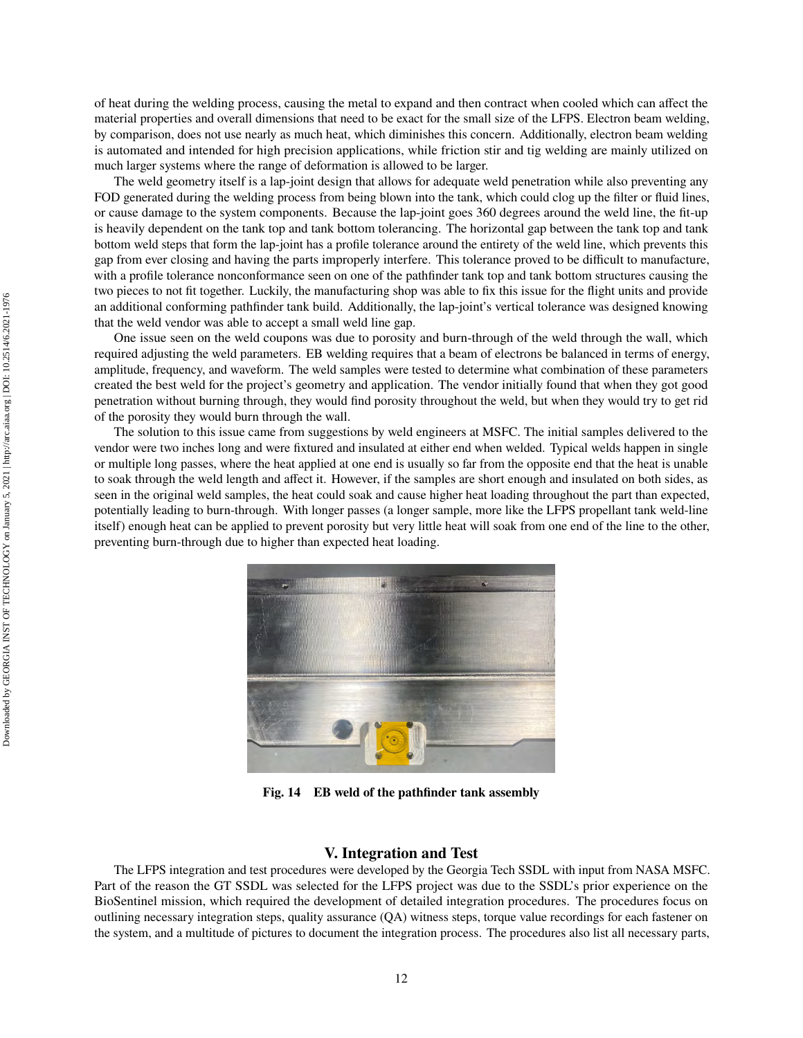of heat during the welding process, causing the metal to expand and then contract when cooled which can affect the material properties and overall dimensions that need to be exact for the small size of the LFPS. Electron beam welding, by comparison, does not use nearly as much heat, which diminishes this concern. Additionally, electron beam welding is automated and intended for high precision applications, while friction stir and tig welding are mainly utilized on much larger systems where the range of deformation is allowed to be larger.

The weld geometry itself is a lap-joint design that allows for adequate weld penetration while also preventing any FOD generated during the welding process from being blown into the tank, which could clog up the filter or fluid lines, or cause damage to the system components. Because the lap-joint goes 360 degrees around the weld line, the fit-up is heavily dependent on the tank top and tank bottom tolerancing. The horizontal gap between the tank top and tank bottom weld steps that form the lap-joint has a profile tolerance around the entirety of the weld line, which prevents this gap from ever closing and having the parts improperly interfere. This tolerance proved to be difficult to manufacture, with a profile tolerance nonconformance seen on one of the pathfinder tank top and tank bottom structures causing the two pieces to not fit together. Luckily, the manufacturing shop was able to fix this issue for the flight units and provide an additional conforming pathfinder tank build. Additionally, the lap-joint's vertical tolerance was designed knowing that the weld vendor was able to accept a small weld line gap.

One issue seen on the weld coupons was due to porosity and burn-through of the weld through the wall, which required adjusting the weld parameters. EB welding requires that a beam of electrons be balanced in terms of energy, amplitude, frequency, and waveform. The weld samples were tested to determine what combination of these parameters created the best weld for the project's geometry and application. The vendor initially found that when they got good penetration without burning through, they would find porosity throughout the weld, but when they would try to get rid of the porosity they would burn through the wall.

The solution to this issue came from suggestions by weld engineers at MSFC. The initial samples delivered to the vendor were two inches long and were fixtured and insulated at either end when welded. Typical welds happen in single or multiple long passes, where the heat applied at one end is usually so far from the opposite end that the heat is unable to soak through the weld length and affect it. However, if the samples are short enough and insulated on both sides, as seen in the original weld samples, the heat could soak and cause higher heat loading throughout the part than expected, potentially leading to burn-through. With longer passes (a longer sample, more like the LFPS propellant tank weld-line itself) enough heat can be applied to prevent porosity but very little heat will soak from one end of the line to the other, preventing burn-through due to higher than expected heat loading.



**Fig. 14 EB weld of the pathfinder tank assembly**

#### **V. Integration and Test**

The LFPS integration and test procedures were developed by the Georgia Tech SSDL with input from NASA MSFC. Part of the reason the GT SSDL was selected for the LFPS project was due to the SSDL's prior experience on the BioSentinel mission, which required the development of detailed integration procedures. The procedures focus on outlining necessary integration steps, quality assurance (QA) witness steps, torque value recordings for each fastener on the system, and a multitude of pictures to document the integration process. The procedures also list all necessary parts,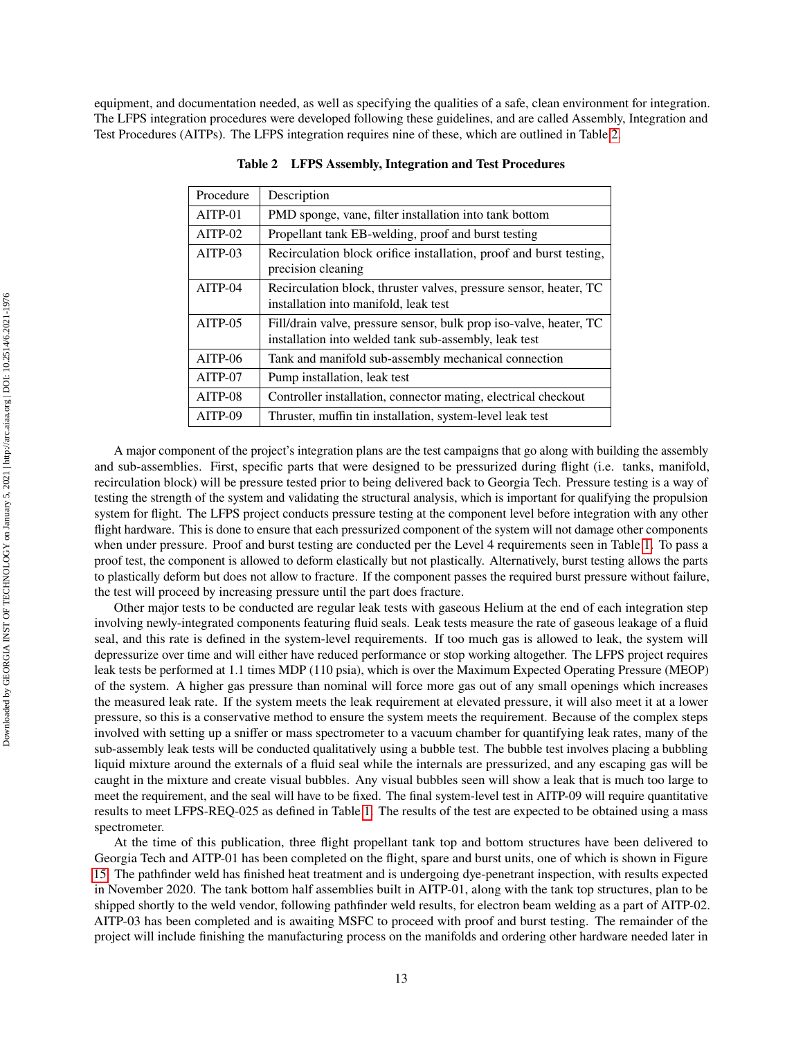<span id="page-12-0"></span>equipment, and documentation needed, as well as specifying the qualities of a safe, clean environment for integration. The LFPS integration procedures were developed following these guidelines, and are called Assembly, Integration and Test Procedures (AITPs). The LFPS integration requires nine of these, which are outlined in Table [2.](#page-12-0)

| Procedure | Description                                                                                                                 |  |  |
|-----------|-----------------------------------------------------------------------------------------------------------------------------|--|--|
| $AITP-01$ | PMD sponge, vane, filter installation into tank bottom                                                                      |  |  |
| $AITP-02$ | Propellant tank EB-welding, proof and burst testing                                                                         |  |  |
| $AITP-03$ | Recirculation block orifice installation, proof and burst testing,<br>precision cleaning                                    |  |  |
| $AITP-04$ | Recirculation block, thruster valves, pressure sensor, heater, TC<br>installation into manifold, leak test                  |  |  |
| $AITP-05$ | Fill/drain valve, pressure sensor, bulk prop iso-valve, heater, TC<br>installation into welded tank sub-assembly, leak test |  |  |
| $AITP-06$ | Tank and manifold sub-assembly mechanical connection                                                                        |  |  |
| AITP-07   | Pump installation, leak test                                                                                                |  |  |
| $AITP-08$ | Controller installation, connector mating, electrical checkout                                                              |  |  |
| AITP-09   | Thruster, muffin tin installation, system-level leak test                                                                   |  |  |

**Table 2 LFPS Assembly, Integration and Test Procedures**

A major component of the project's integration plans are the test campaigns that go along with building the assembly and sub-assemblies. First, specific parts that were designed to be pressurized during flight (i.e. tanks, manifold, recirculation block) will be pressure tested prior to being delivered back to Georgia Tech. Pressure testing is a way of testing the strength of the system and validating the structural analysis, which is important for qualifying the propulsion system for flight. The LFPS project conducts pressure testing at the component level before integration with any other flight hardware. This is done to ensure that each pressurized component of the system will not damage other components when under pressure. Proof and burst testing are conducted per the Level 4 requirements seen in Table [1.](#page-3-0) To pass a proof test, the component is allowed to deform elastically but not plastically. Alternatively, burst testing allows the parts to plastically deform but does not allow to fracture. If the component passes the required burst pressure without failure, the test will proceed by increasing pressure until the part does fracture.

Other major tests to be conducted are regular leak tests with gaseous Helium at the end of each integration step involving newly-integrated components featuring fluid seals. Leak tests measure the rate of gaseous leakage of a fluid seal, and this rate is defined in the system-level requirements. If too much gas is allowed to leak, the system will depressurize over time and will either have reduced performance or stop working altogether. The LFPS project requires leak tests be performed at 1.1 times MDP (110 psia), which is over the Maximum Expected Operating Pressure (MEOP) of the system. A higher gas pressure than nominal will force more gas out of any small openings which increases the measured leak rate. If the system meets the leak requirement at elevated pressure, it will also meet it at a lower pressure, so this is a conservative method to ensure the system meets the requirement. Because of the complex steps involved with setting up a sniffer or mass spectrometer to a vacuum chamber for quantifying leak rates, many of the sub-assembly leak tests will be conducted qualitatively using a bubble test. The bubble test involves placing a bubbling liquid mixture around the externals of a fluid seal while the internals are pressurized, and any escaping gas will be caught in the mixture and create visual bubbles. Any visual bubbles seen will show a leak that is much too large to meet the requirement, and the seal will have to be fixed. The final system-level test in AITP-09 will require quantitative results to meet LFPS-REQ-025 as defined in Table [1.](#page-3-0) The results of the test are expected to be obtained using a mass spectrometer.

At the time of this publication, three flight propellant tank top and bottom structures have been delivered to Georgia Tech and AITP-01 has been completed on the flight, spare and burst units, one of which is shown in Figure [15.](#page-13-0) The pathfinder weld has finished heat treatment and is undergoing dye-penetrant inspection, with results expected in November 2020. The tank bottom half assemblies built in AITP-01, along with the tank top structures, plan to be shipped shortly to the weld vendor, following pathfinder weld results, for electron beam welding as a part of AITP-02. AITP-03 has been completed and is awaiting MSFC to proceed with proof and burst testing. The remainder of the project will include finishing the manufacturing process on the manifolds and ordering other hardware needed later in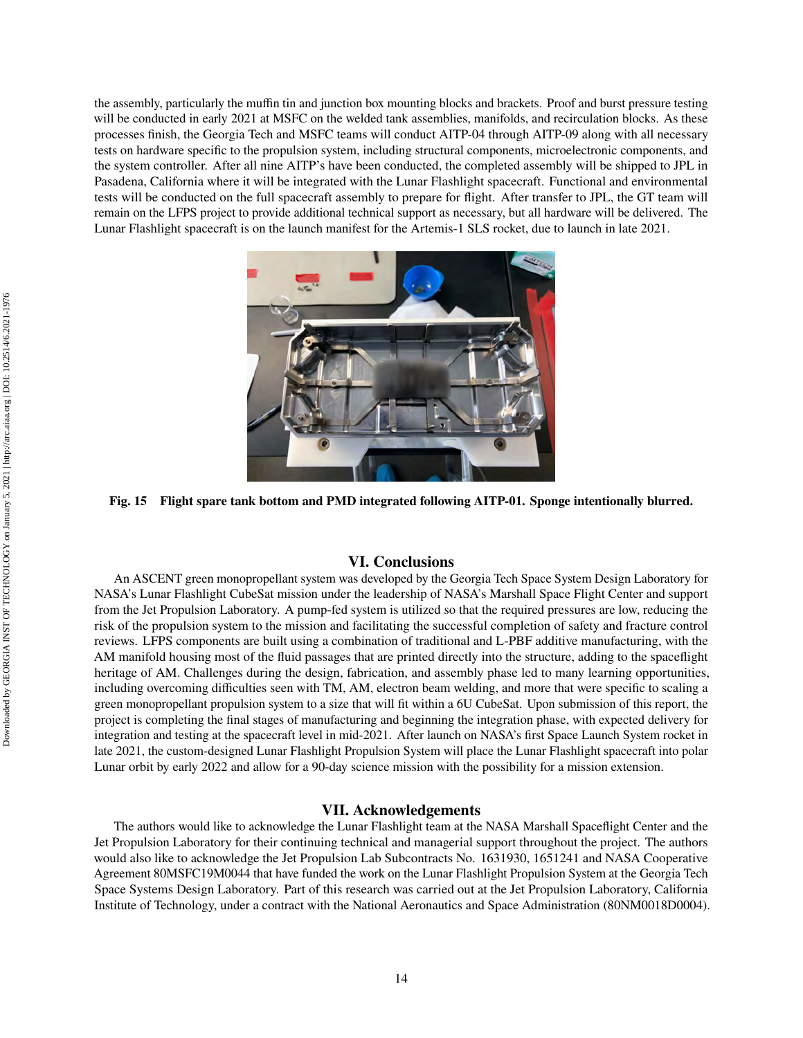the assembly, particularly the muffin tin and junction box mounting blocks and brackets. Proof and burst pressure testing will be conducted in early 2021 at MSFC on the welded tank assemblies, manifolds, and recirculation blocks. As these processes finish, the Georgia Tech and MSFC teams will conduct AITP-04 through AITP-09 along with all necessary tests on hardware specific to the propulsion system, including structural components, microelectronic components, and the system controller. After all nine AITP's have been conducted, the completed assembly will be shipped to JPL in Pasadena, California where it will be integrated with the Lunar Flashlight spacecraft. Functional and environmental tests will be conducted on the full spacecraft assembly to prepare for flight. After transfer to JPL, the GT team will remain on the LFPS project to provide additional technical support as necessary, but all hardware will be delivered. The Lunar Flashlight spacecraft is on the launch manifest for the Artemis-1 SLS rocket, due to launch in late 2021.

<span id="page-13-0"></span>

**Fig. 15 Flight spare tank bottom and PMD integrated following AITP-01. Sponge intentionally blurred.**

# **VI. Conclusions**

An ASCENT green monopropellant system was developed by the Georgia Tech Space System Design Laboratory for NASA's Lunar Flashlight CubeSat mission under the leadership of NASA's Marshall Space Flight Center and support from the Jet Propulsion Laboratory. A pump-fed system is utilized so that the required pressures are low, reducing the risk of the propulsion system to the mission and facilitating the successful completion of safety and fracture control reviews. LFPS components are built using a combination of traditional and L-PBF additive manufacturing, with the AM manifold housing most of the fluid passages that are printed directly into the structure, adding to the spaceflight heritage of AM. Challenges during the design, fabrication, and assembly phase led to many learning opportunities, including overcoming difficulties seen with TM, AM, electron beam welding, and more that were specific to scaling a green monopropellant propulsion system to a size that will fit within a 6U CubeSat. Upon submission of this report, the project is completing the final stages of manufacturing and beginning the integration phase, with expected delivery for integration and testing at the spacecraft level in mid-2021. After launch on NASA's first Space Launch System rocket in late 2021, the custom-designed Lunar Flashlight Propulsion System will place the Lunar Flashlight spacecraft into polar Lunar orbit by early 2022 and allow for a 90-day science mission with the possibility for a mission extension.

## **VII. Acknowledgements**

The authors would like to acknowledge the Lunar Flashlight team at the NASA Marshall Spaceflight Center and the Jet Propulsion Laboratory for their continuing technical and managerial support throughout the project. The authors would also like to acknowledge the Jet Propulsion Lab Subcontracts No. 1631930, 1651241 and NASA Cooperative Agreement 80MSFC19M0044 that have funded the work on the Lunar Flashlight Propulsion System at the Georgia Tech Space Systems Design Laboratory. Part of this research was carried out at the Jet Propulsion Laboratory, California Institute of Technology, under a contract with the National Aeronautics and Space Administration (80NM0018D0004).